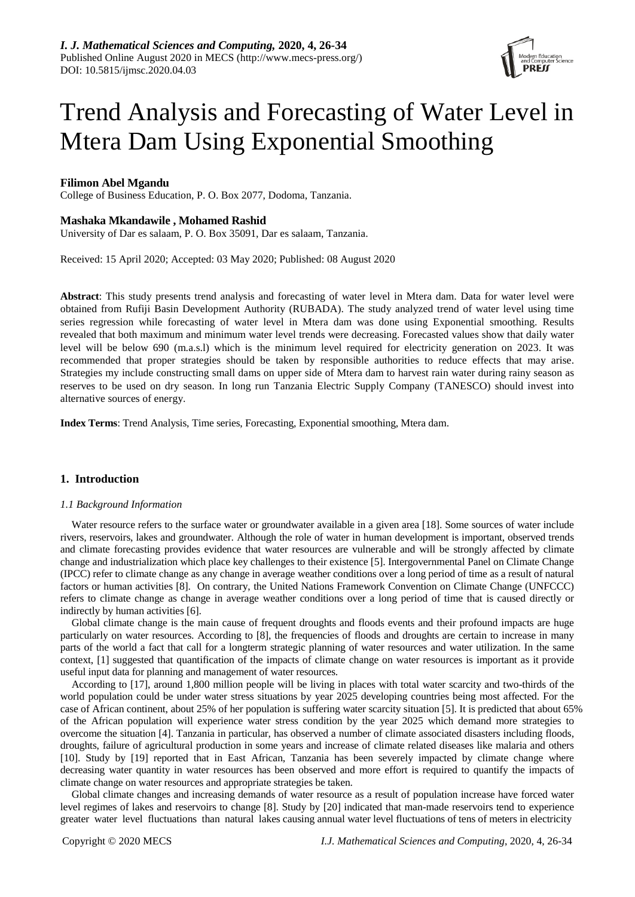

# Trend Analysis and Forecasting of Water Level in Mtera Dam Using Exponential Smoothing

# **Filimon Abel Mgandu**

College of Business Education, P. O. Box 2077, Dodoma, Tanzania.

# **Mashaka Mkandawile , Mohamed Rashid**

University of Dar es salaam, P. O. Box 35091, Dar es salaam, Tanzania.

Received: 15 April 2020; Accepted: 03 May 2020; Published: 08 August 2020

**Abstract**: This study presents trend analysis and forecasting of water level in Mtera dam. Data for water level were obtained from Rufiji Basin Development Authority (RUBADA). The study analyzed trend of water level using time series regression while forecasting of water level in Mtera dam was done using Exponential smoothing. Results revealed that both maximum and minimum water level trends were decreasing. Forecasted values show that daily water level will be below 690 (m.a.s.l) which is the minimum level required for electricity generation on 2023. It was recommended that proper strategies should be taken by responsible authorities to reduce effects that may arise. Strategies my include constructing small dams on upper side of Mtera dam to harvest rain water during rainy season as reserves to be used on dry season. In long run Tanzania Electric Supply Company (TANESCO) should invest into alternative sources of energy.

**Index Terms**: Trend Analysis, Time series, Forecasting, Exponential smoothing, Mtera dam.

# **1. Introduction**

## *1.1 Background Information*

Water resource refers to the surface water or groundwater available in a given area [18]. Some sources of water include rivers, reservoirs, lakes and groundwater. Although the role of water in human development is important, observed trends and climate forecasting provides evidence that water resources are vulnerable and will be strongly affected by climate change and industrialization which place key challenges to their existence [5]. Intergovernmental Panel on Climate Change (IPCC) refer to climate change as any change in average weather conditions over a long period of time as a result of natural factors or human activities [8]. On contrary, the United Nations Framework Convention on Climate Change (UNFCCC) refers to climate change as change in average weather conditions over a long period of time that is caused directly or indirectly by human activities [6].

Global climate change is the main cause of frequent droughts and floods events and their profound impacts are huge particularly on water resources. According to [8], the frequencies of floods and droughts are certain to increase in many parts of the world a fact that call for a longterm strategic planning of water resources and water utilization. In the same context, [1] suggested that quantification of the impacts of climate change on water resources is important as it provide useful input data for planning and management of water resources.

According to [17], around 1,800 million people will be living in places with total water scarcity and two-thirds of the world population could be under water stress situations by year 2025 developing countries being most affected. For the case of African continent, about 25% of her population is suffering water scarcity situation [5]. It is predicted that about 65% of the African population will experience water stress condition by the year 2025 which demand more strategies to overcome the situation [4]. Tanzania in particular, has observed a number of climate associated disasters including floods, droughts, failure of agricultural production in some years and increase of climate related diseases like malaria and others [10]. Study by [19] reported that in East African, Tanzania has been severely impacted by climate change where decreasing water quantity in water resources has been observed and more effort is required to quantify the impacts of climate change on water resources and appropriate strategies be taken.

Global climate changes and increasing demands of water resource as a result of population increase have forced water level regimes of lakes and reservoirs to change [8]. Study by [20] indicated that man-made reservoirs tend to experience greater water level fluctuations than natural lakes causing annual water level fluctuations of tens of meters in electricity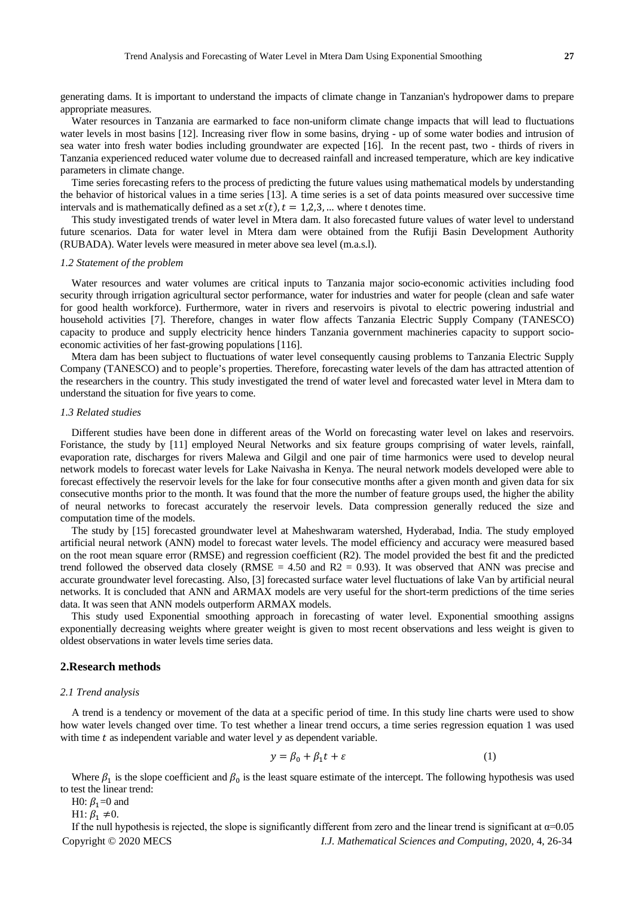generating dams. It is important to understand the impacts of climate change in Tanzanian's hydropower dams to prepare appropriate measures.

Water resources in Tanzania are earmarked to face non-uniform climate change impacts that will lead to fluctuations water levels in most basins [12]. Increasing river flow in some basins, drying - up of some water bodies and intrusion of sea water into fresh water bodies including groundwater are expected [16]. In the recent past, two - thirds of rivers in Tanzania experienced reduced water volume due to decreased rainfall and increased temperature, which are key indicative parameters in climate change.

Time series forecasting refers to the process of predicting the future values using mathematical models by understanding the behavior of historical values in a time series [13]. A time series is a set of data points measured over successive time intervals and is mathematically defined as a set  $x(t)$ ,  $t = 1,2,3, ...$  where t denotes time.

This study investigated trends of water level in Mtera dam. It also forecasted future values of water level to understand future scenarios. Data for water level in Mtera dam were obtained from the Rufiji Basin Development Authority (RUBADA). Water levels were measured in meter above sea level (m.a.s.l).

## *1.2 Statement of the problem*

Water resources and water volumes are critical inputs to Tanzania major socio-economic activities including food security through irrigation agricultural sector performance, water for industries and water for people (clean and safe water for good health workforce). Furthermore, water in rivers and reservoirs is pivotal to electric powering industrial and household activities [7]. Therefore, changes in water flow affects Tanzania Electric Supply Company (TANESCO) capacity to produce and supply electricity hence hinders Tanzania government machineries capacity to support socioeconomic activities of her fast-growing populations [116].

Mtera dam has been subject to fluctuations of water level consequently causing problems to Tanzania Electric Supply Company (TANESCO) and to people's properties. Therefore, forecasting water levels of the dam has attracted attention of the researchers in the country. This study investigated the trend of water level and forecasted water level in Mtera dam to understand the situation for five years to come.

# *1.3 Related studies*

Different studies have been done in different areas of the World on forecasting water level on lakes and reservoirs. Foristance, the study by [11] employed Neural Networks and six feature groups comprising of water levels, rainfall, evaporation rate, discharges for rivers Malewa and Gilgil and one pair of time harmonics were used to develop neural network models to forecast water levels for Lake Naivasha in Kenya. The neural network models developed were able to forecast effectively the reservoir levels for the lake for four consecutive months after a given month and given data for six consecutive months prior to the month. It was found that the more the number of feature groups used, the higher the ability of neural networks to forecast accurately the reservoir levels. Data compression generally reduced the size and computation time of the models.

The study by [15] forecasted groundwater level at Maheshwaram watershed, Hyderabad, India. The study employed artificial neural network (ANN) model to forecast water levels. The model efficiency and accuracy were measured based on the root mean square error (RMSE) and regression coefficient (R2). The model provided the best fit and the predicted trend followed the observed data closely (RMSE = 4.50 and R2 = 0.93). It was observed that ANN was precise and accurate groundwater level forecasting. Also, [3] forecasted surface water level fluctuations of lake Van by artificial neural networks. It is concluded that ANN and ARMAX models are very useful for the short-term predictions of the time series data. It was seen that ANN models outperform ARMAX models.

This study used Exponential smoothing approach in forecasting of water level. Exponential smoothing assigns exponentially decreasing weights where greater weight is given to most recent observations and less weight is given to oldest observations in water levels time series data.

#### **2.Research methods**

#### *2.1 Trend analysis*

A trend is a tendency or movement of the data at a specific period of time. In this study line charts were used to show how water levels changed over time. To test whether a linear trend occurs, a time series regression equation 1 was used with time  $t$  as independent variable and water level  $y$  as dependent variable.

$$
y = \beta_0 + \beta_1 t + \varepsilon \tag{1}
$$

Where  $\beta_1$  is the slope coefficient and  $\beta_0$  is the least square estimate of the intercept. The following hypothesis was used to test the linear trend:

H0:  $\beta_1$ =0 and

H1:  $\beta_1 \neq 0$ .

Copyright © 2020 MECS *I.J. Mathematical Sciences and Computing*, 2020, 4, 26-34 If the null hypothesis is rejected, the slope is significantly different from zero and the linear trend is significant at  $\alpha$ =0.05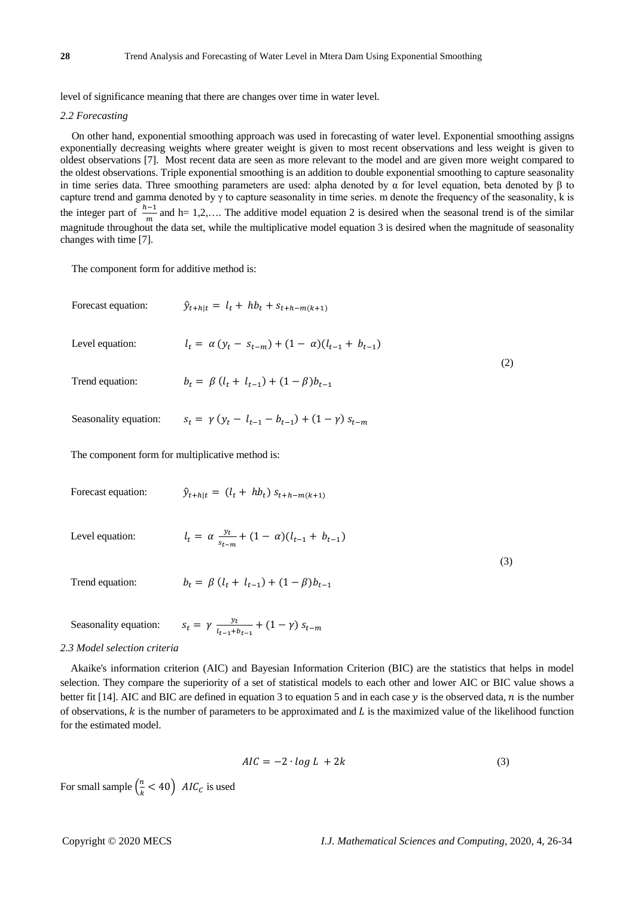level of significance meaning that there are changes over time in water level.

#### *2.2 Forecasting*

On other hand, exponential smoothing approach was used in forecasting of water level. Exponential smoothing assigns exponentially decreasing weights where greater weight is given to most recent observations and less weight is given to oldest observations [7]. Most recent data are seen as more relevant to the model and are given more weight compared to the oldest observations. Triple exponential smoothing is an addition to double exponential smoothing to capture seasonality in time series data. Three smoothing parameters are used: alpha denoted by α for level equation, beta denoted by β to capture trend and gamma denoted by  $\gamma$  to capture seasonality in time series. m denote the frequency of the seasonality, k is the integer part of  $\frac{h-1}{m}$  and h= 1,2,.... The additive model equation 2 is desired when the seasonal trend is of the similar magnitude throughout the data set, while the multiplicative model equation 3 is desired when the magnitude of seasonality changes with time [7].

The component form for additive method is:

| Forecast equation:                               | $\hat{y}_{t+h t} = l_t + hb_t + s_{t+h-m(k+1)}$                  |     |  |
|--------------------------------------------------|------------------------------------------------------------------|-----|--|
| Level equation:                                  | $l_t = \alpha (y_t - s_{t-m}) + (1 - \alpha)(l_{t-1} + b_{t-1})$ | (2) |  |
| Trend equation:                                  | $b_t = \beta (l_t + l_{t-1}) + (1 - \beta) b_{t-1}$              |     |  |
| Seasonality equation:                            | $S_t = \gamma (y_t - l_{t-1} - b_{t-1}) + (1 - \gamma) S_{t-m}$  |     |  |
| The component form for multiplicative method is: |                                                                  |     |  |
| Forecast equation:                               | $\hat{y}_{t+h t} = (l_t + hb_t) s_{t+h-m(k+1)}$                  |     |  |

Level equation:  $l_t = \alpha \frac{y_t}{s_{t-m}} + (1 - \alpha)(l_{t-1} + b_{t-1})$  $\overline{3}$ 

Trend equation:  $b_t = \beta (l_t + l_{t-1}) + (1 - \beta) b_{t-1}$ 

Seasonality equation:  $s_t = \gamma \frac{y_t}{l_{t-1} + b_{t-1}} + (1 - \gamma) s_{t-m}$ 

#### *2.3 Model selection criteria*

Akaike's information criterion (AIC) and Bayesian Information Criterion (BIC) are the statistics that helps in model selection. They compare the superiority of a set of statistical models to each other and lower AIC or BIC value shows a better fit [14]. AIC and BIC are defined in equation 3 to equation 5 and in each case  $y$  is the observed data,  $n$  is the number of observations,  $k$  is the number of parameters to be approximated and  $L$  is the maximized value of the likelihood function for the estimated model.

$$
AIC = -2 \cdot \log L + 2k \tag{3}
$$

For small sample  $\left(\frac{n}{k}\right)$  $\frac{n}{k}$  < 40  $\int$  *AIC<sub>c</sub>* is used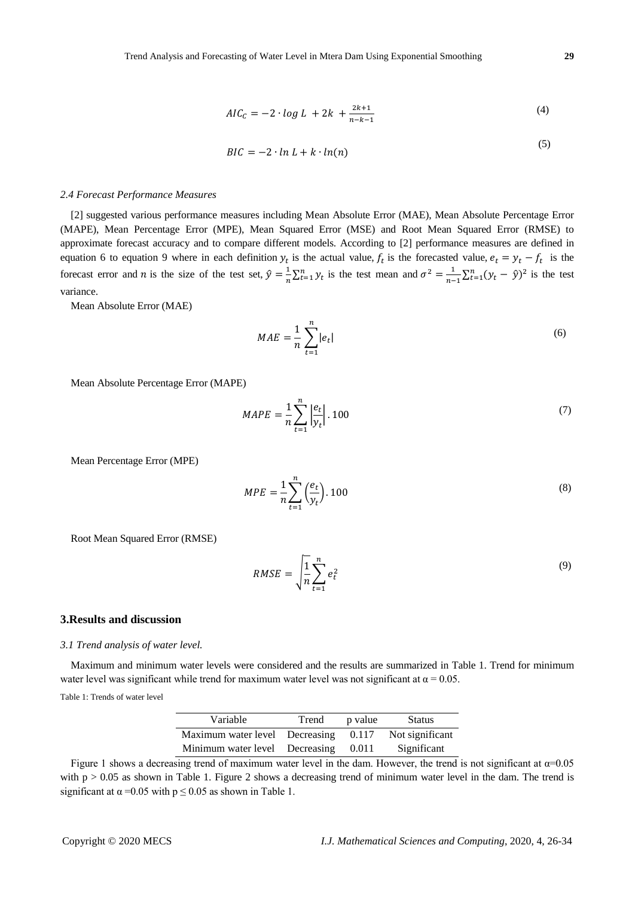$$
AIC_{C} = -2 \cdot \log L + 2k + \frac{2k+1}{n-k-1}
$$
 (4)

$$
BIC = -2 \cdot \ln L + k \cdot \ln(n) \tag{5}
$$

## *2.4 Forecast Performance Measures*

[2] suggested various performance measures including Mean Absolute Error (MAE), Mean Absolute Percentage Error (MAPE), Mean Percentage Error (MPE), Mean Squared Error (MSE) and Root Mean Squared Error (RMSE) to approximate forecast accuracy and to compare different models. According to [2] performance measures are defined in equation 6 to equation 9 where in each definition  $y_t$  is the actual value,  $f_t$  is the forecasted value,  $e_t = y_t - f_t$  is the forecast error and *n* is the size of the test set,  $\hat{y} = \frac{1}{n} \sum_{t=1}^{n} y_t$  is the test mean and  $\sigma^2 = \frac{1}{n-1} \sum_{t=1}^{n} (y_t - \hat{y})^2$  is the test variance.

Mean Absolute Error (MAE)

$$
MAE = \frac{1}{n} \sum_{t=1}^{n} |e_t|
$$
\n<sup>(6)</sup>

Mean Absolute Percentage Error (MAPE)

$$
MAPE = \frac{1}{n} \sum_{t=1}^{n} \left| \frac{e_t}{y_t} \right| \cdot 100 \tag{7}
$$

Mean Percentage Error (MPE)

$$
MPE = \frac{1}{n} \sum_{t=1}^{n} \left(\frac{e_t}{y_t}\right).100\tag{8}
$$

Root Mean Squared Error (RMSE)

$$
RMSE = \sqrt{\frac{1}{n} \sum_{t=1}^{n} e_t^2}
$$
 (9)

### **3.Results and discussion**

#### *3.1 Trend analysis of water level.*

Maximum and minimum water levels were considered and the results are summarized in Table 1. Trend for minimum water level was significant while trend for maximum water level was not significant at  $\alpha = 0.05$ .

Table 1: Trends of water level

| Variable                             | Trend | p value | <b>Status</b>   |
|--------------------------------------|-------|---------|-----------------|
| Maximum water level Decreasing 0.117 |       |         | Not significant |
| Minimum water level Decreasing 0.011 |       |         | Significant     |

Figure 1 shows a decreasing trend of maximum water level in the dam. However, the trend is not significant at  $\alpha$ =0.05 with  $p > 0.05$  as shown in Table 1. Figure 2 shows a decreasing trend of minimum water level in the dam. The trend is significant at  $\alpha$  =0.05 with  $p \le 0.05$  as shown in Table 1.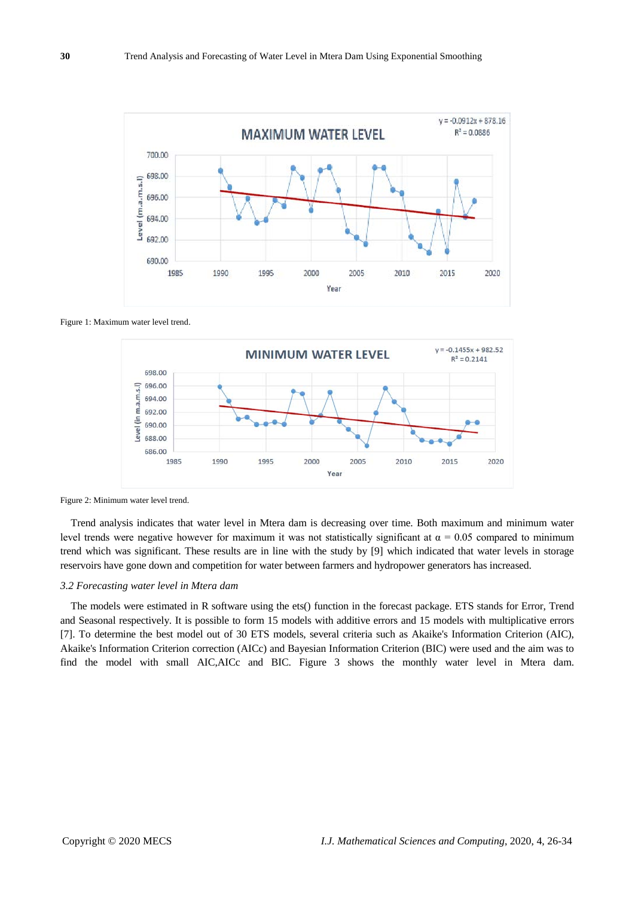

Figure 1: Maximum water level trend.



Figure 2: Minimum water level trend.

Trend analysis indicates that water level in Mtera dam is decreasing over time. Both maximum and minimum water level trends were negative however for maximum it was not statistically significant at  $\alpha = 0.05$  compared to minimum trend which was significant. These results are in line with the study by [9] which indicated that water levels in storage reservoirs have gone down and competition for water between farmers and hydropower generators has increased.

## *3.2 Forecasting water level in Mtera dam*

The models were estimated in R software using the ets() function in the forecast package. ETS stands for Error, Trend and Seasonal respectively. It is possible to form 15 models with additive errors and 15 models with multiplicative errors [7]. To determine the best model out of 30 ETS models, several criteria such as Akaike's Information Criterion (AIC), Akaike's Information Criterion correction (AICc) and Bayesian Information Criterion (BIC) were used and the aim was to find the model with small AIC,AICc and BIC. Figure 3 shows the monthly water level in Mtera dam.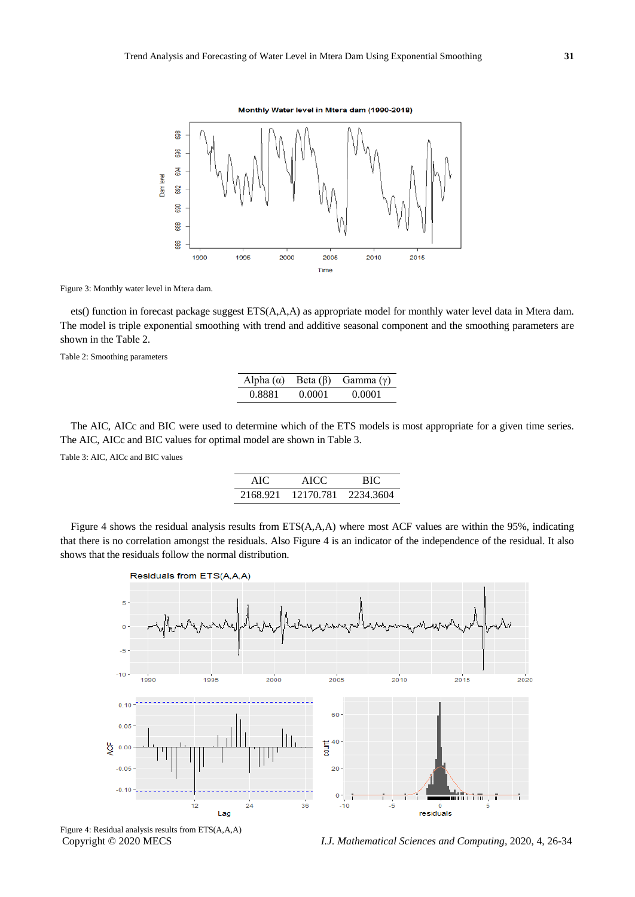Monthly Water level in Mtera dam (1990-2018)



Figure 3: Monthly water level in Mtera dam.

ets() function in forecast package suggest ETS(A,A,A) as appropriate model for monthly water level data in Mtera dam. The model is triple exponential smoothing with trend and additive seasonal component and the smoothing parameters are shown in the Table 2.

Table 2: Smoothing parameters

| Alpha $(\alpha)$ |        | Beta $(\beta)$ Gamma $(\gamma)$ |
|------------------|--------|---------------------------------|
| 0.8881           | 0.0001 | 0.0001                          |

The AIC, AICc and BIC were used to determine which of the ETS models is most appropriate for a given time series. The AIC, AICc and BIC values for optimal model are shown in Table 3.

Table 3: AIC, AICc and BIC values

| AIC      | RIC<br>AICC |           |
|----------|-------------|-----------|
| 2168.921 | 12170.781   | 2234.3604 |

Figure 4 shows the residual analysis results from ETS(A,A,A) where most ACF values are within the 95%, indicating that there is no correlation amongst the residuals. Also Figure 4 is an indicator of the independence of the residual. It also shows that the residuals follow the normal distribution.



Figure 4: Residual analysis results from ETS(A,A,A)

Copyright © 2020 MECS *I.J. Mathematical Sciences and Computing*, 2020, 4, 26-34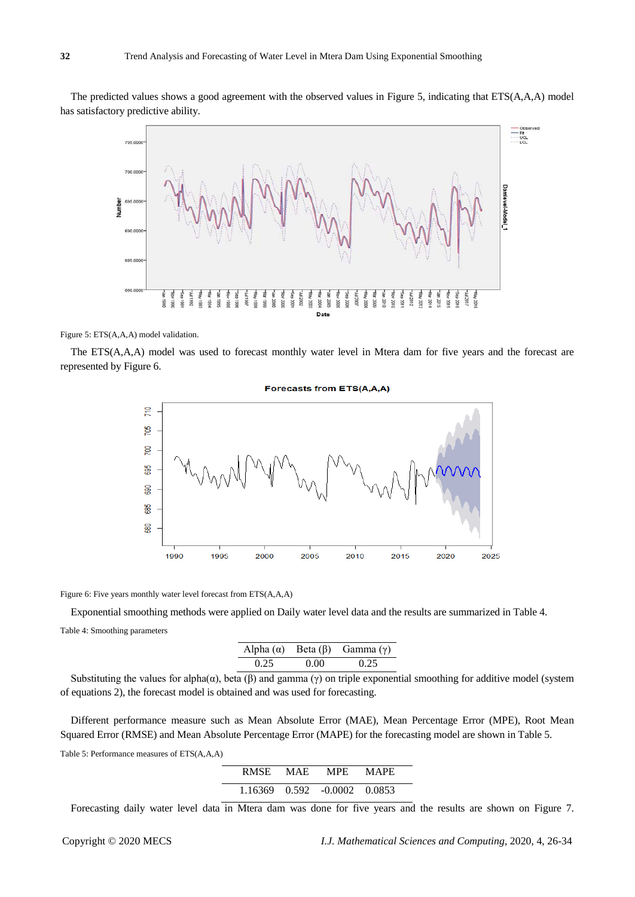The predicted values shows a good agreement with the observed values in Figure 5, indicating that ETS(A,A,A) model has satisfactory predictive ability.



Figure 5: ETS(A,A,A) model validation.

The ETS(A,A,A) model was used to forecast monthly water level in Mtera dam for five years and the forecast are represented by Figure 6.

#### **Forecasts from ETS(A,A,A)**



Figure 6: Five years monthly water level forecast from ETS(A,A,A)

Exponential smoothing methods were applied on Daily water level data and the results are summarized in Table 4. Table 4: Smoothing parameters

|      | Alpha $(\alpha)$ Beta $(\beta)$ Gamma $(\gamma)$ |      |
|------|--------------------------------------------------|------|
| 0.25 | 0.00                                             | 0.25 |

Substituting the values for alpha( $\alpha$ ), beta ( $\beta$ ) and gamma ( $\gamma$ ) on triple exponential smoothing for additive model (system of equations 2), the forecast model is obtained and was used for forecasting.

Different performance measure such as Mean Absolute Error (MAE), Mean Percentage Error (MPE), Root Mean Squared Error (RMSE) and Mean Absolute Percentage Error (MAPE) for the forecasting model are shown in Table 5.

Table 5: Performance measures of ETS(A,A,A)

| RMSE. | <b>MAE</b> | MPE.                         | MAPE |
|-------|------------|------------------------------|------|
|       |            | 1.16369 0.592 -0.0002 0.0853 |      |

Forecasting daily water level data in Mtera dam was done for five years and the results are shown on Figure 7.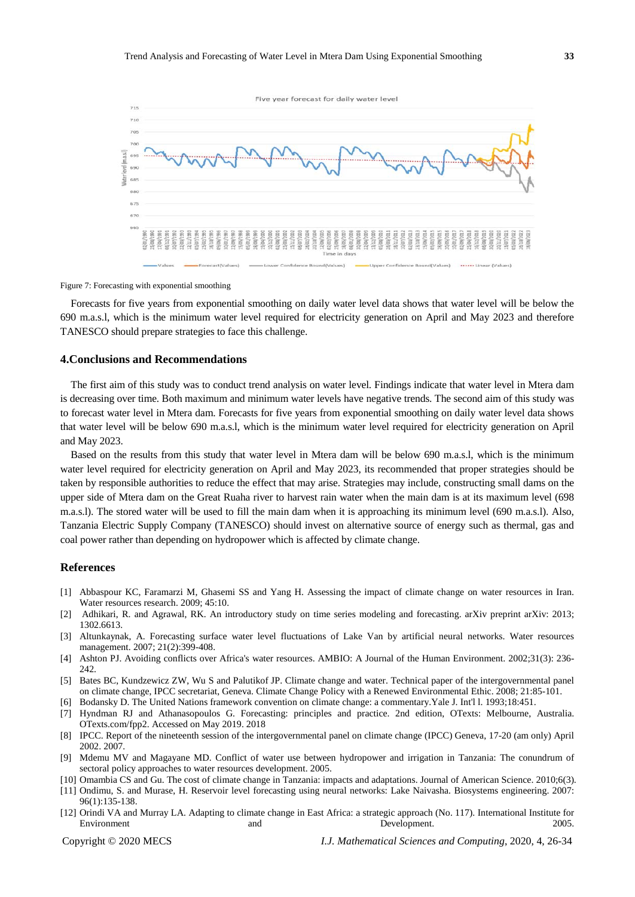

Figure 7: Forecasting with exponential smoothing

Forecasts for five years from exponential smoothing on daily water level data shows that water level will be below the 690 m.a.s.l, which is the minimum water level required for electricity generation on April and May 2023 and therefore TANESCO should prepare strategies to face this challenge.

## **4.Conclusions and Recommendations**

The first aim of this study was to conduct trend analysis on water level. Findings indicate that water level in Mtera dam is decreasing over time. Both maximum and minimum water levels have negative trends. The second aim of this study was to forecast water level in Mtera dam. Forecasts for five years from exponential smoothing on daily water level data shows that water level will be below 690 m.a.s.l, which is the minimum water level required for electricity generation on April and May 2023.

Based on the results from this study that water level in Mtera dam will be below 690 m.a.s.l, which is the minimum water level required for electricity generation on April and May 2023, its recommended that proper strategies should be taken by responsible authorities to reduce the effect that may arise. Strategies may include, constructing small dams on the upper side of Mtera dam on the Great Ruaha river to harvest rain water when the main dam is at its maximum level (698 m.a.s.l). The stored water will be used to fill the main dam when it is approaching its minimum level (690 m.a.s.l). Also, Tanzania Electric Supply Company (TANESCO) should invest on alternative source of energy such as thermal, gas and coal power rather than depending on hydropower which is affected by climate change.

#### **References**

- [1] Abbaspour KC, Faramarzi M, Ghasemi SS and Yang H. Assessing the impact of climate change on water resources in Iran. Water resources research. 2009; 45:10.
- [2] Adhikari, R. and Agrawal, RK. An introductory study on time series modeling and forecasting. arXiv preprint arXiv: 2013; 1302.6613.
- [3] Altunkaynak, A. Forecasting surface water level fluctuations of Lake Van by artificial neural networks. Water resources management. 2007; 21(2):399-408.
- [4] Ashton PJ. Avoiding conflicts over Africa's water resources. AMBIO: A Journal of the Human Environment. 2002;31(3): 236- 242.
- [5] Bates BC, Kundzewicz ZW, Wu S and Palutikof JP. Climate change and water. Technical paper of the intergovernmental panel on climate change, IPCC secretariat, Geneva. Climate Change Policy with a Renewed Environmental Ethic. 2008; 21:85-101.

[6] Bodansky D. The United Nations framework convention on climate change: a commentary.Yale J. Int'l l. 1993;18:451.

- [7] Hyndman RJ and Athanasopoulos G. Forecasting: principles and practice. 2nd edition, OTexts: Melbourne, Australia. OTexts.com/fpp2. Accessed on May 2019. 2018
- [8] IPCC. Report of the nineteenth session of the intergovernmental panel on climate change (IPCC) Geneva, 17-20 (am only) April 2002. 2007.
- [9] Mdemu MV and Magayane MD. Conflict of water use between hydropower and irrigation in Tanzania: The conundrum of sectoral policy approaches to water resources development. 2005.
- [10] Omambia CS and Gu. The cost of climate change in Tanzania: impacts and adaptations. Journal of American Science. 2010;6(3). [11] Ondimu, S. and Murase, H. Reservoir level forecasting using neural networks: Lake Naivasha. Biosystems engineering. 2007: 96(1):135-138.
- [12] Orindi VA and Murray LA. Adapting to climate change in East Africa: a strategic approach (No. 117). International Institute for Environment 2005.